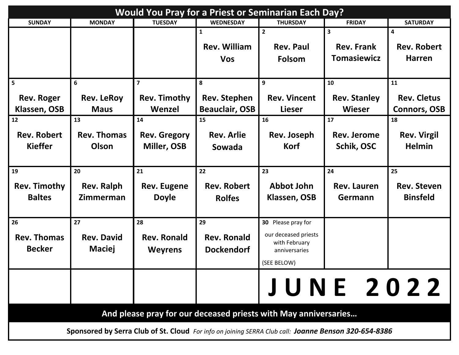| <b>Would You Pray for a Priest or Seminarian Each Day?</b>      |                                                                                                      |                     |                       |                                |                     |                     |  |
|-----------------------------------------------------------------|------------------------------------------------------------------------------------------------------|---------------------|-----------------------|--------------------------------|---------------------|---------------------|--|
| <b>SUNDAY</b>                                                   | <b>MONDAY</b>                                                                                        | <b>TUESDAY</b>      | <b>WEDNESDAY</b>      | <b>THURSDAY</b>                | <b>FRIDAY</b>       | <b>SATURDAY</b>     |  |
|                                                                 |                                                                                                      |                     | $\mathbf{1}$          | $\overline{2}$                 | 3                   | 4                   |  |
|                                                                 |                                                                                                      |                     | <b>Rev. William</b>   | <b>Rev. Paul</b>               | <b>Rev. Frank</b>   | <b>Rev. Robert</b>  |  |
|                                                                 |                                                                                                      |                     | <b>Vos</b>            | Folsom                         | <b>Tomasiewicz</b>  | <b>Harren</b>       |  |
|                                                                 |                                                                                                      |                     |                       |                                |                     |                     |  |
| 5                                                               | 6                                                                                                    | $\overline{7}$      | 8                     | 9                              | 10                  | 11                  |  |
| <b>Rev. Roger</b>                                               | <b>Rev. LeRoy</b>                                                                                    | <b>Rev. Timothy</b> | <b>Rev. Stephen</b>   | <b>Rev. Vincent</b>            | <b>Rev. Stanley</b> | <b>Rev. Cletus</b>  |  |
| Klassen, OSB                                                    | <b>Maus</b>                                                                                          | Wenzel              | <b>Beauclair, OSB</b> | <b>Lieser</b>                  | Wieser              | <b>Connors, OSB</b> |  |
| 12                                                              | 13                                                                                                   | 14                  | 15                    | 16                             | 17                  | 18                  |  |
| <b>Rev. Robert</b>                                              | <b>Rev. Thomas</b>                                                                                   | <b>Rev. Gregory</b> | <b>Rev. Arlie</b>     | Rev. Joseph                    | <b>Rev. Jerome</b>  | <b>Rev. Virgil</b>  |  |
| <b>Kieffer</b>                                                  | Olson                                                                                                | Miller, OSB         | Sowada                | <b>Korf</b>                    | Schik, OSC          | <b>Helmin</b>       |  |
|                                                                 |                                                                                                      |                     |                       |                                |                     |                     |  |
| 19                                                              | 20                                                                                                   | 21                  | 22                    | 23                             | 24                  | 25                  |  |
| <b>Rev. Timothy</b>                                             | <b>Rev. Ralph</b>                                                                                    | <b>Rev. Eugene</b>  | <b>Rev. Robert</b>    | <b>Abbot John</b>              | Rev. Lauren         | <b>Rev. Steven</b>  |  |
| <b>Baltes</b>                                                   | Zimmerman                                                                                            | <b>Doyle</b>        | <b>Rolfes</b>         | Klassen, OSB                   | Germann             | <b>Binsfeld</b>     |  |
|                                                                 |                                                                                                      |                     |                       |                                |                     |                     |  |
| 26                                                              | 27                                                                                                   | 28                  | 29                    | 30 Please pray for             |                     |                     |  |
| <b>Rev. Thomas</b>                                              | <b>Rev. David</b>                                                                                    | <b>Rev. Ronald</b>  | <b>Rev. Ronald</b>    | our deceased priests           |                     |                     |  |
| <b>Becker</b>                                                   | <b>Maciej</b>                                                                                        | <b>Weyrens</b>      | <b>Dockendorf</b>     | with February<br>anniversaries |                     |                     |  |
|                                                                 |                                                                                                      |                     |                       | (SEE BELOW)                    |                     |                     |  |
|                                                                 |                                                                                                      |                     |                       |                                |                     |                     |  |
|                                                                 |                                                                                                      |                     |                       |                                | <b>JUNE 2022</b>    |                     |  |
|                                                                 |                                                                                                      |                     |                       |                                |                     |                     |  |
| And please pray for our deceased priests with May anniversaries |                                                                                                      |                     |                       |                                |                     |                     |  |
|                                                                 | Sponsored by Serra Club of St. Cloud For info on joining SERRA Club call: Joanne Benson 320-654-8386 |                     |                       |                                |                     |                     |  |